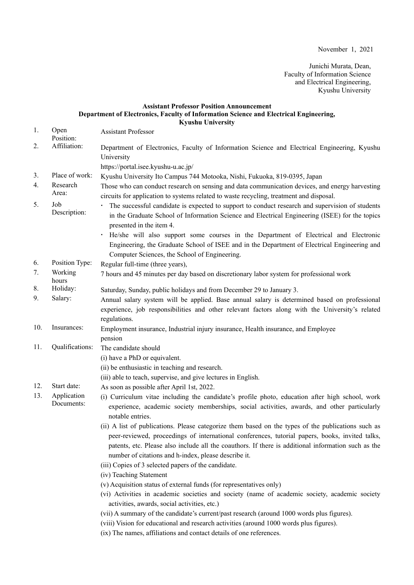Junichi Murata, Dean, Faculty of Information Science and Electrical Engineering, Kyushu University

## **Assistant Professor Position Announcement Department of Electronics, Faculty of Information Science and Electrical Engineering, Kyushu University**

1. Open Position: Assistant Professor 2. Affiliation: Department of Electronics, Faculty of Information Science and Electrical Engineering, Kyushu University https://portal.isee.kyushu-u.ac.jp/ 3. Place of work: Kyushu University Ito Campus 744 Motooka, Nishi, Fukuoka, 819-0395, Japan 4. Research Area: Those who can conduct research on sensing and data communication devices, and energy harvesting circuits for application to systems related to waste recycling, treatment and disposal. 5. Job Job Figure 1. The successful candidate is expected to support to conduct research and supervision of students<br>Description: in the Craduate School of Information Science and Electrical Engineering (ISEE) for the tonics in the Graduate School of Information Science and Electrical Engineering (ISEE) for the topics presented in the item 4. He/she will also support some courses in the Department of Electrical and Electronic Engineering, the Graduate School of ISEE and in the Department of Electrical Engineering and Computer Sciences, the School of Engineering. 6. Position Type: Regular full-time (three years), 7. Working hours 7 hours and 45 minutes per day based on discretionary labor system for professional work 8. Holiday: Saturday, Sunday, public holidays and from December 29 to January 3. 9. Salary: Annual salary system will be applied. Base annual salary is determined based on professional experience, job responsibilities and other relevant factors along with the University's related regulations. 10. Insurances: Employment insurance, Industrial injury insurance, Health insurance, and Employee pension 11. Qualifications: The candidate should (i) have a PhD or equivalent. (ⅱ) be enthusiastic in teaching and research. (ⅲ) able to teach, supervise, and give lectures in English. 12. Start date: As soon as possible after April 1st, 2022. 13. Application Documents: (i) Curriculum vitae including the candidate's profile photo, education after high school, work experience, academic society memberships, social activities, awards, and other particularly notable entries. (ii) A list of publications. Please categorize them based on the types of the publications such as peer-reviewed, proceedings of international conferences, tutorial papers, books, invited talks, patents, etc. Please also include all the coauthors. If there is additional information such as the number of citations and h-index, please describe it. (iii) Copies of 3 selected papers of the candidate. (iv) Teaching Statement (v) Acquisition status of external funds (for representatives only) (vi) Activities in academic societies and society (name of academic society, academic society activities, awards, social activities, etc.) (vii) A summary of the candidate's current/past research (around 1000 words plus figures). (viii) Vision for educational and research activities (around 1000 words plus figures).

(ix) The names, affiliations and contact details of one references.